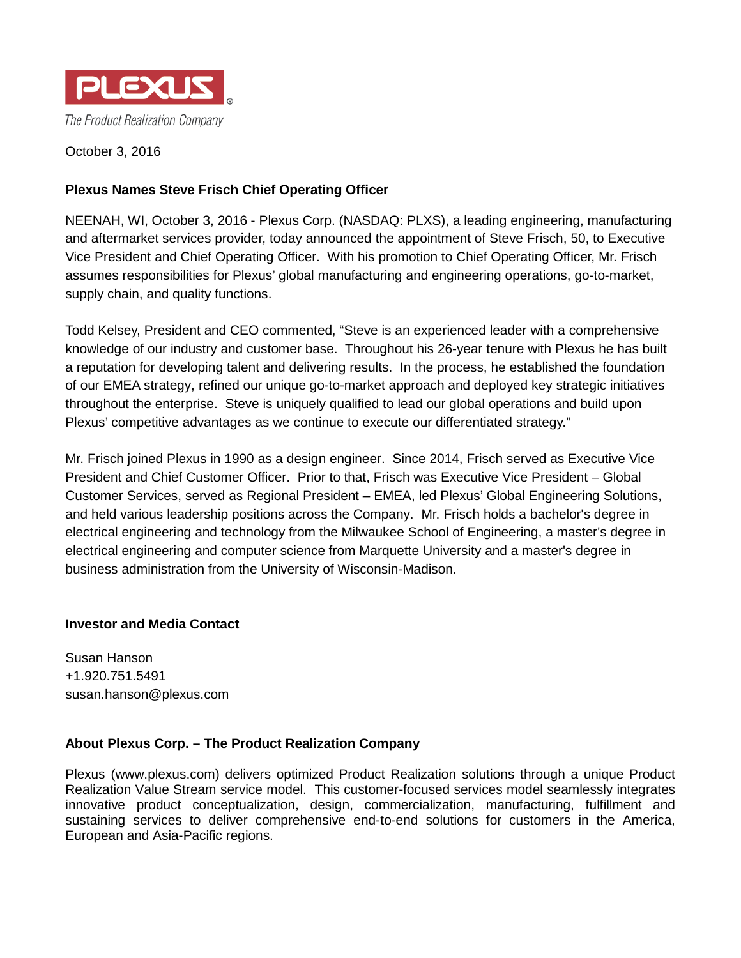

October 3, 2016

## **Plexus Names Steve Frisch Chief Operating Officer**

NEENAH, WI, October 3, 2016 - Plexus Corp. (NASDAQ: PLXS), a leading engineering, manufacturing and aftermarket services provider, today announced the appointment of Steve Frisch, 50, to Executive Vice President and Chief Operating Officer. With his promotion to Chief Operating Officer, Mr. Frisch assumes responsibilities for Plexus' global manufacturing and engineering operations, go-to-market, supply chain, and quality functions.

Todd Kelsey, President and CEO commented, "Steve is an experienced leader with a comprehensive knowledge of our industry and customer base. Throughout his 26-year tenure with Plexus he has built a reputation for developing talent and delivering results. In the process, he established the foundation of our EMEA strategy, refined our unique go-to-market approach and deployed key strategic initiatives throughout the enterprise. Steve is uniquely qualified to lead our global operations and build upon Plexus' competitive advantages as we continue to execute our differentiated strategy."

Mr. Frisch joined Plexus in 1990 as a design engineer. Since 2014, Frisch served as Executive Vice President and Chief Customer Officer. Prior to that, Frisch was Executive Vice President – Global Customer Services, served as Regional President – EMEA, led Plexus' Global Engineering Solutions, and held various leadership positions across the Company. Mr. Frisch holds a bachelor's degree in electrical engineering and technology from the Milwaukee School of Engineering, a master's degree in electrical engineering and computer science from Marquette University and a master's degree in business administration from the University of Wisconsin-Madison.

## **Investor and Media Contact**

Susan Hanson +1.920.751.5491 susan.hanson@plexus.com

## **About Plexus Corp. – The Product Realization Company**

Plexus [\(www.plexus.com\)](file://neen-dsk-002/data02/PLXS/INVREL/Press%20releases/2015/www.plexus.com) delivers optimized Product Realization solutions through a unique Product Realization Value Stream service model. This customer-focused services model seamlessly integrates innovative product conceptualization, design, commercialization, manufacturing, fulfillment and sustaining services to deliver comprehensive end-to-end solutions for customers in the America, European and Asia-Pacific regions.